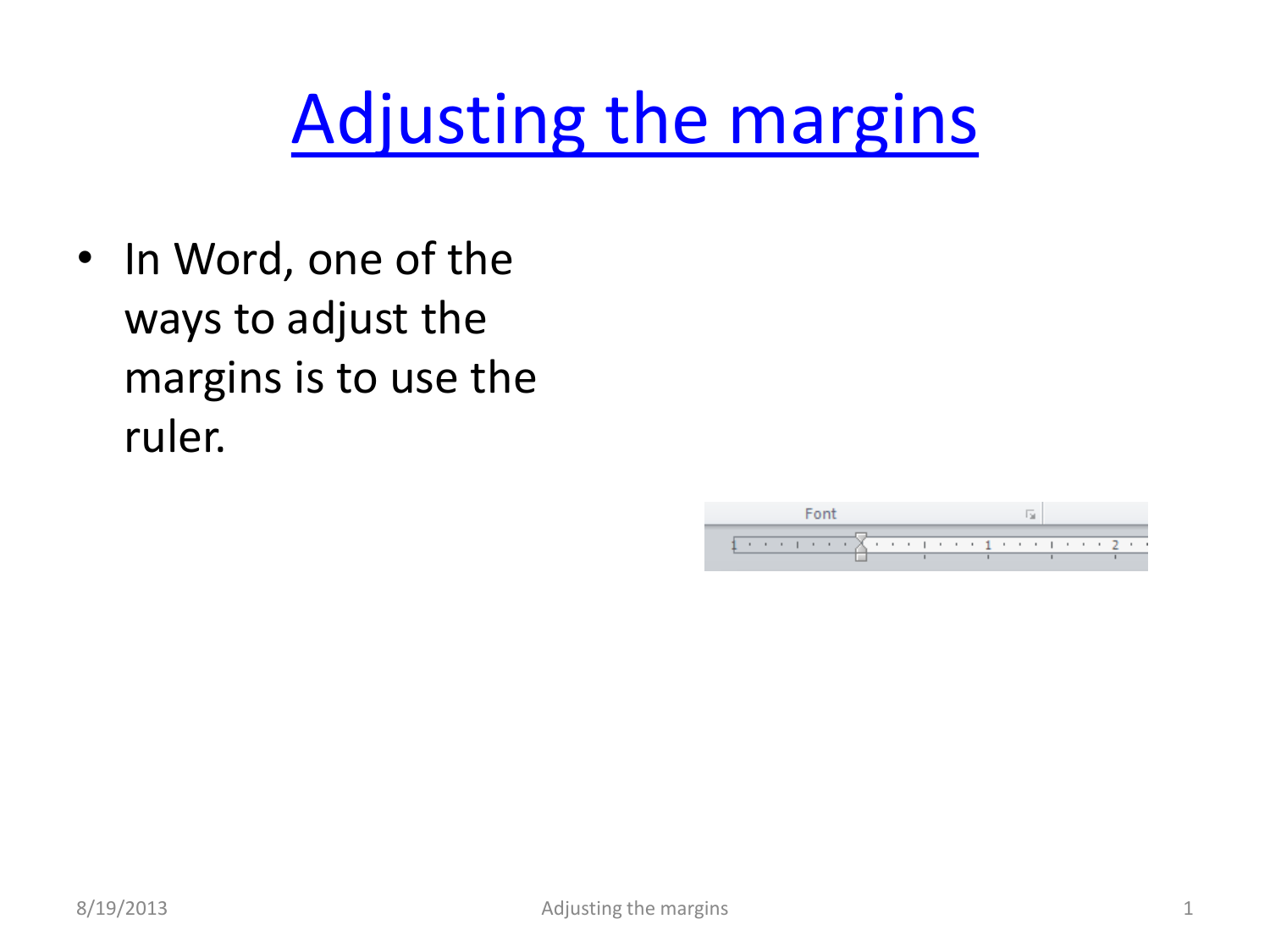## [Adjusting the margins](#page-1-0)

• In Word, one of the ways to adjust the margins is to use the ruler.

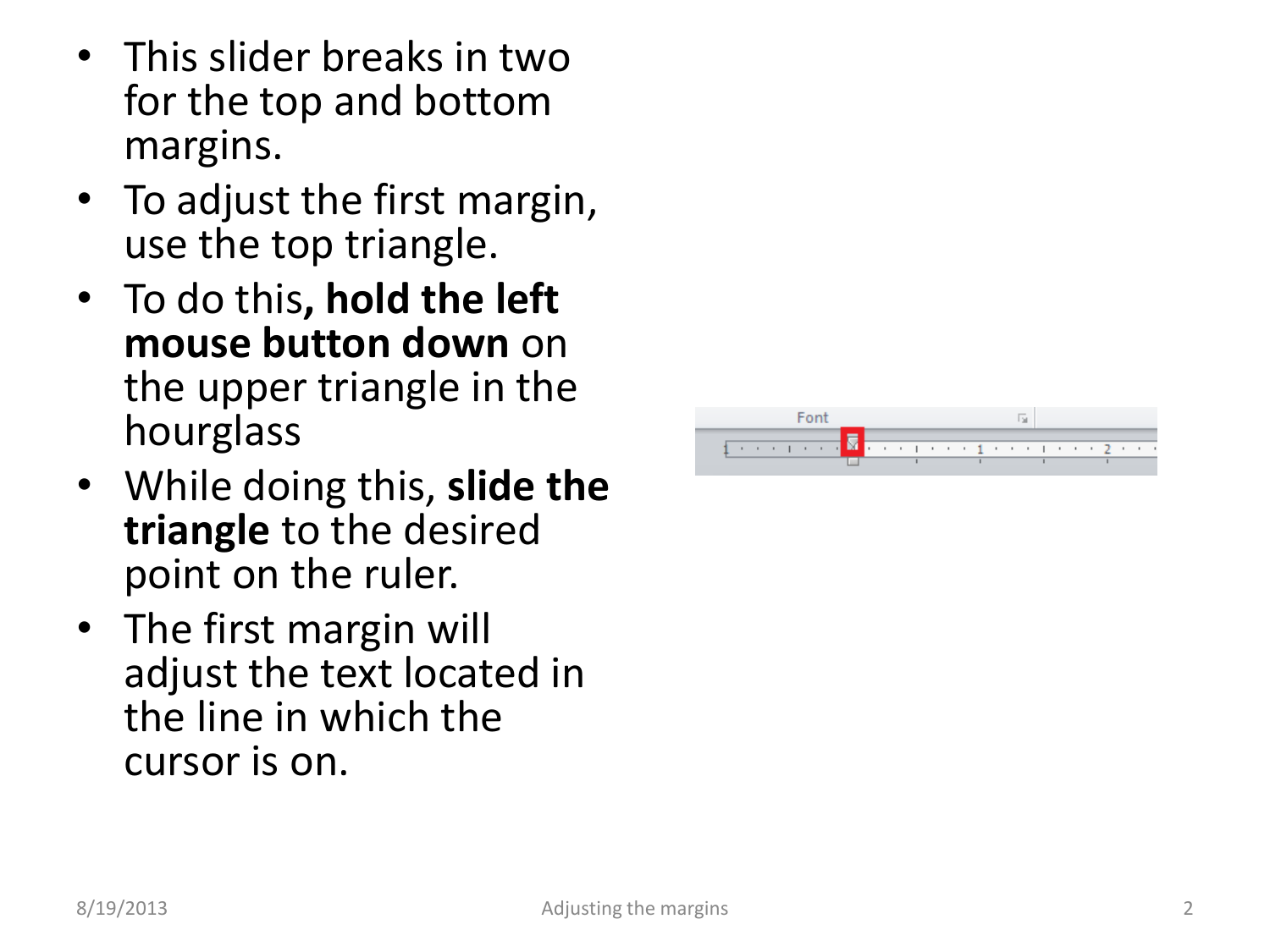- This slider breaks in two for the top and bottom margins.
- To adjust the first margin, use the top triangle .
- To do this**, hold the left mouse button down** on the upper triangle in the hourglass
- While doing this, **slide the triangle** to the desired point on the ruler.
- <span id="page-1-0"></span>• The first margin will adjust the text located in the line in which the cursor is on.

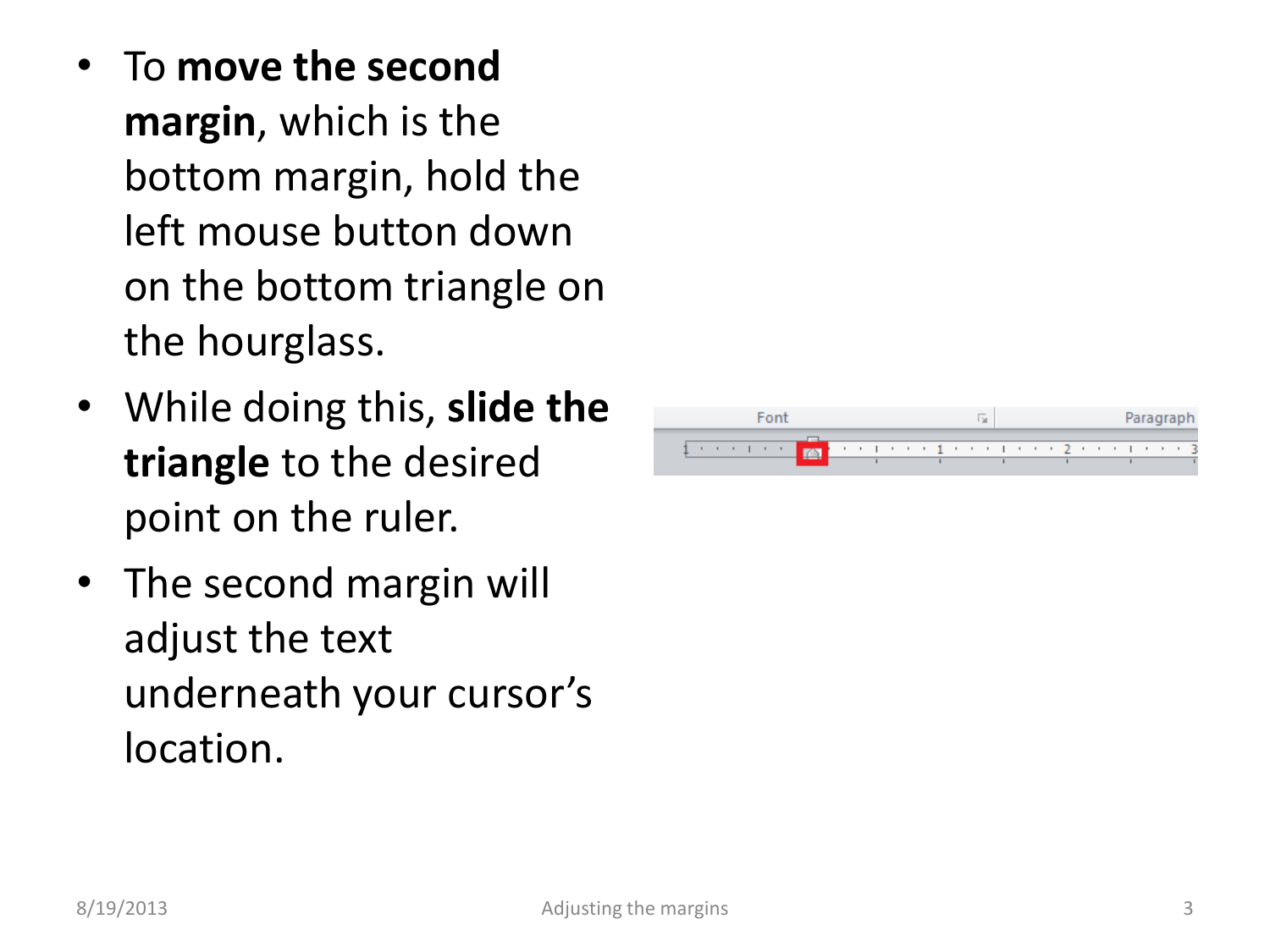- To **move the second margin**, which is the bottom margin, hold the left mouse button down on the bottom triangle on the hourglass.
- While doing this, **slide the triangle** to the desired point on the ruler.
- The second margin will adjust the text underneath your cursor's location.

|  |  |  |  |  |  |  |  |  |  |  |  | Paragrap |  |  |  |  |  |  |  |  |  |  |  |
|--|--|--|--|--|--|--|--|--|--|--|--|----------|--|--|--|--|--|--|--|--|--|--|--|
|  |  |  |  |  |  |  |  |  |  |  |  |          |  |  |  |  |  |  |  |  |  |  |  |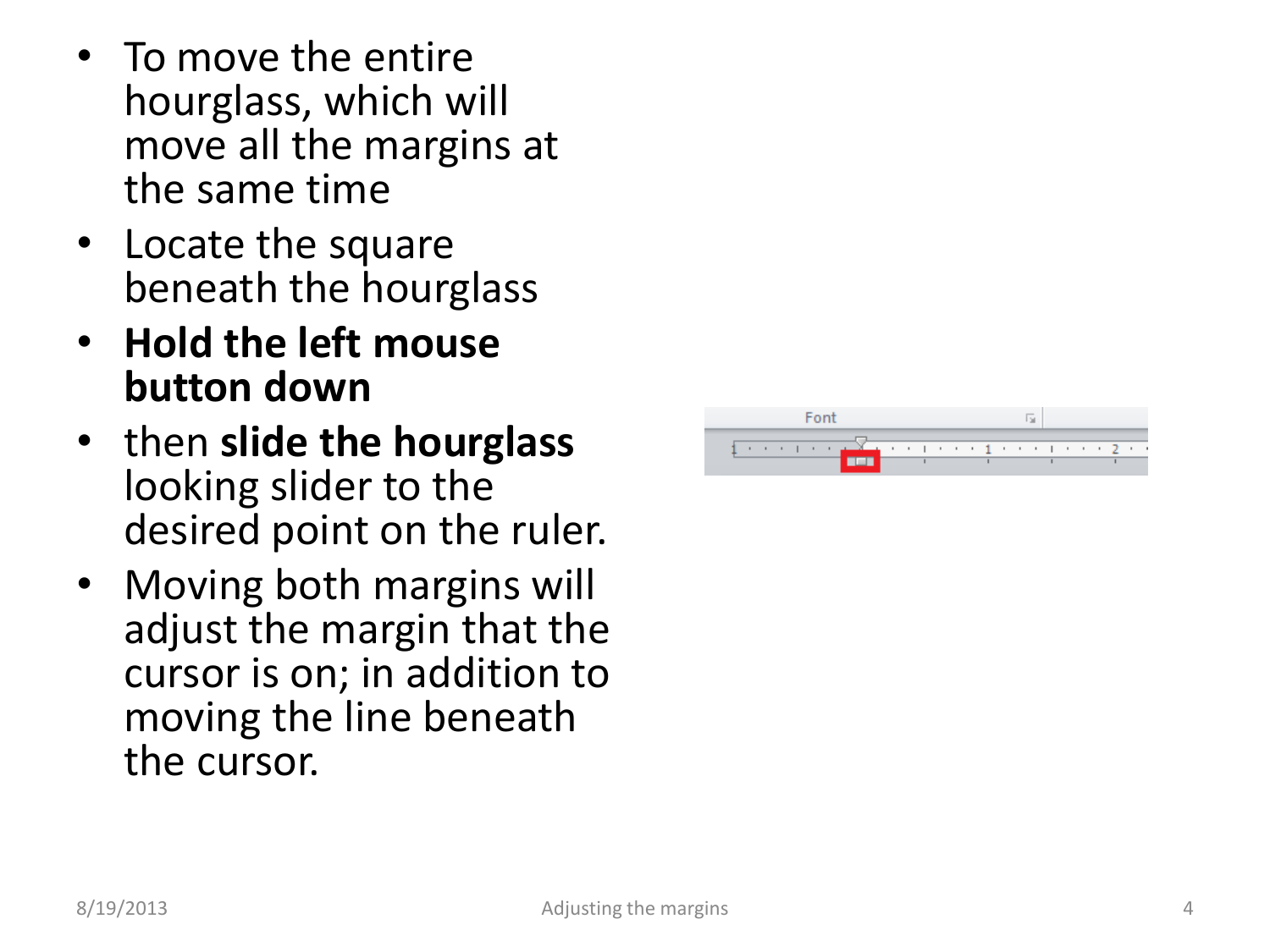- To move the entire hourglass, which will move all the margins at the same time
- Locate the square beneath the hourglass
- **Hold the left mouse button down**
- then **slide the hourglass**  looking slider to the desired point on the ruler.
- Moving both margins will adjust the margin that the cursor is on; in addition to moving the line beneath the cursor.

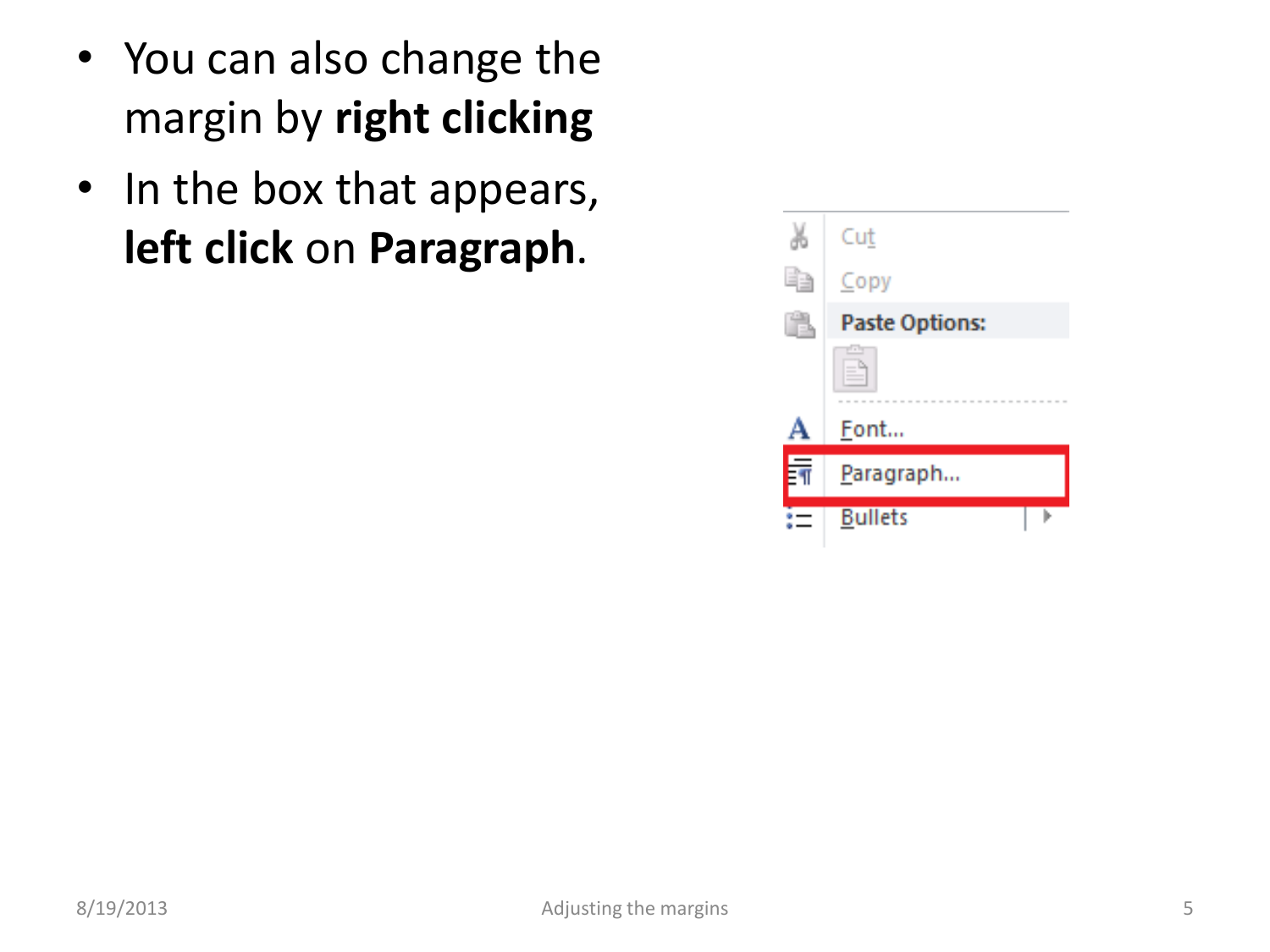- You can also change the margin by **right clicking**
- In the box that appears, **left click** on **Paragraph**.

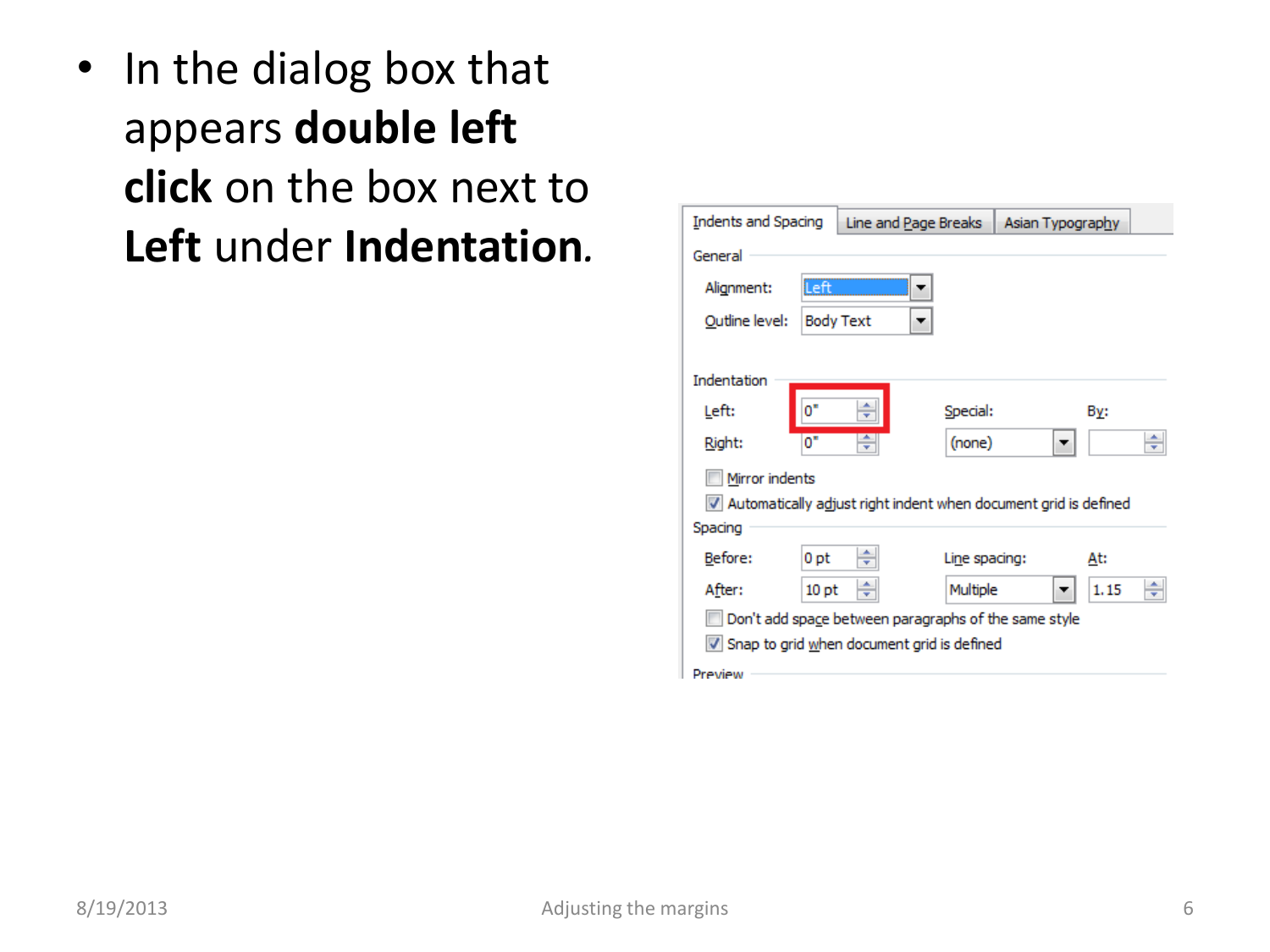• In the dialog box that appears **double left click** on the box next to **Left** under **Indentation***.*

| Indents and Spacing                                  | Line and Page Breaks   Asian Typography                         |               |      |   |  |  |  |  |  |  |
|------------------------------------------------------|-----------------------------------------------------------------|---------------|------|---|--|--|--|--|--|--|
| General                                              |                                                                 |               |      |   |  |  |  |  |  |  |
| Alignment:                                           | lLeft                                                           |               |      |   |  |  |  |  |  |  |
| Outline level:                                       | <b>Body Text</b>                                                |               |      |   |  |  |  |  |  |  |
| Indentation                                          |                                                                 |               |      |   |  |  |  |  |  |  |
|                                                      |                                                                 |               |      |   |  |  |  |  |  |  |
| $0^*$<br>Left:                                       | ۸<br>┯                                                          | Special:      | By:  |   |  |  |  |  |  |  |
| 0"<br>Right:                                         | ÷                                                               | (none)        |      | ÷ |  |  |  |  |  |  |
| Mirror indents                                       |                                                                 |               |      |   |  |  |  |  |  |  |
|                                                      | Automatically adjust right indent when document grid is defined |               |      |   |  |  |  |  |  |  |
| Spacing                                              |                                                                 |               |      |   |  |  |  |  |  |  |
| Before:                                              | 0 <sub>pt</sub>                                                 | Line spacing: | At:  |   |  |  |  |  |  |  |
| After:                                               | 10 <sub>pt</sub>                                                | Multiple      | 1.15 |   |  |  |  |  |  |  |
| Don't add space between paragraphs of the same style |                                                                 |               |      |   |  |  |  |  |  |  |
|                                                      | Snap to grid when document grid is defined                      |               |      |   |  |  |  |  |  |  |
| Preview                                              |                                                                 |               |      |   |  |  |  |  |  |  |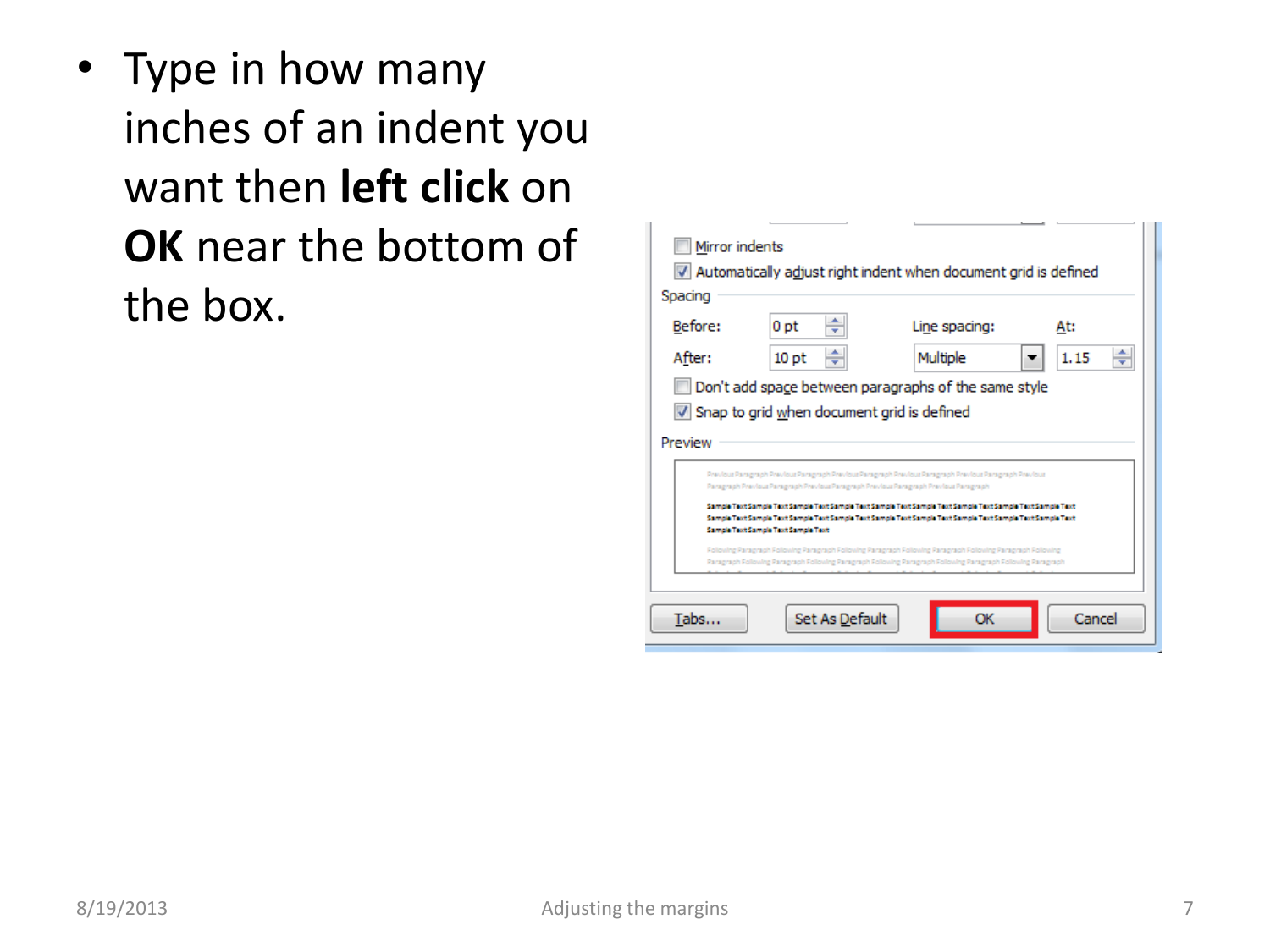• Type in how many inches of an indent you want then **left click** on **OK** near the bottom of the box.

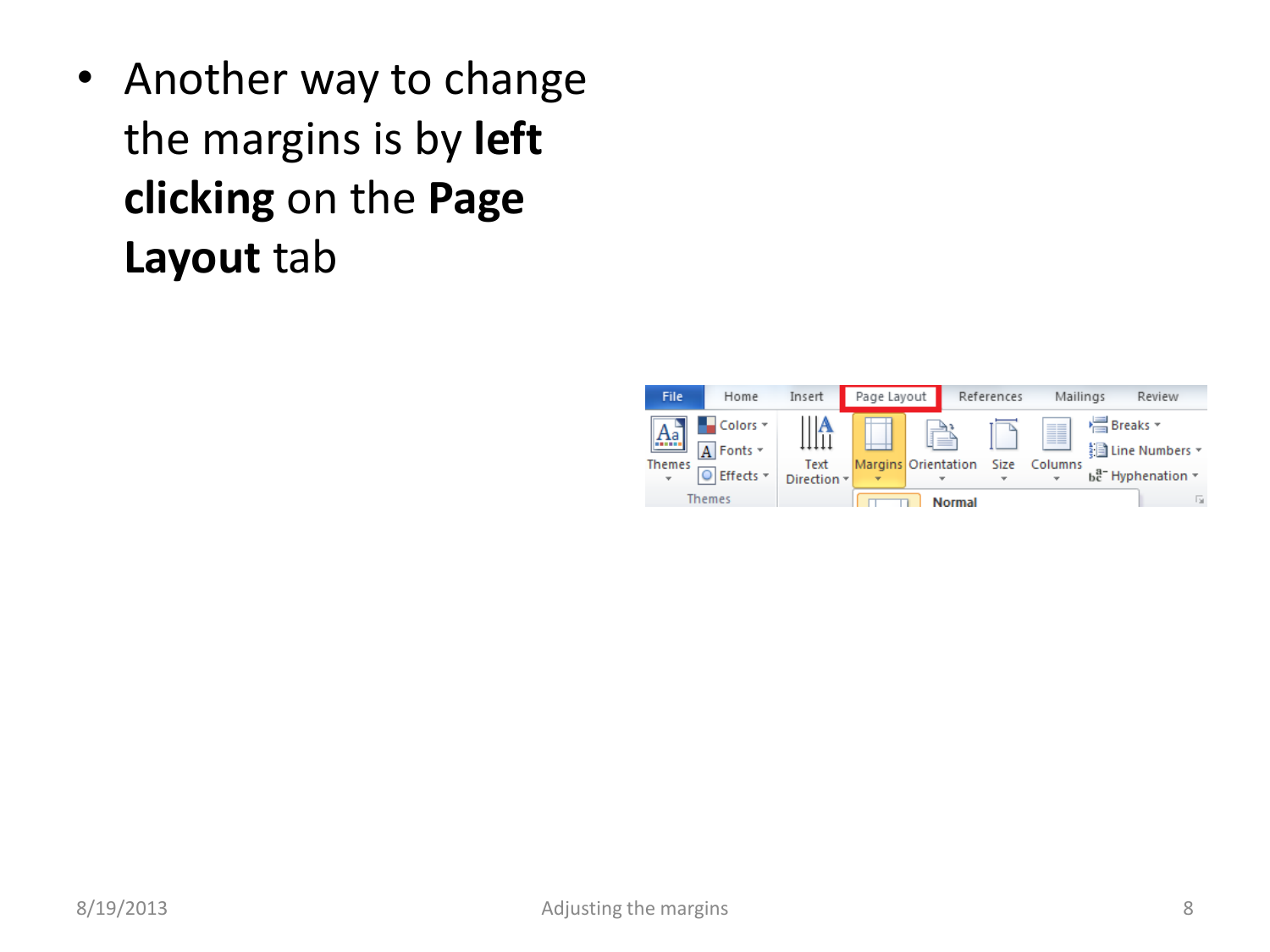• Another way to change the margins is by **left clicking** on the **Page Layout** tab

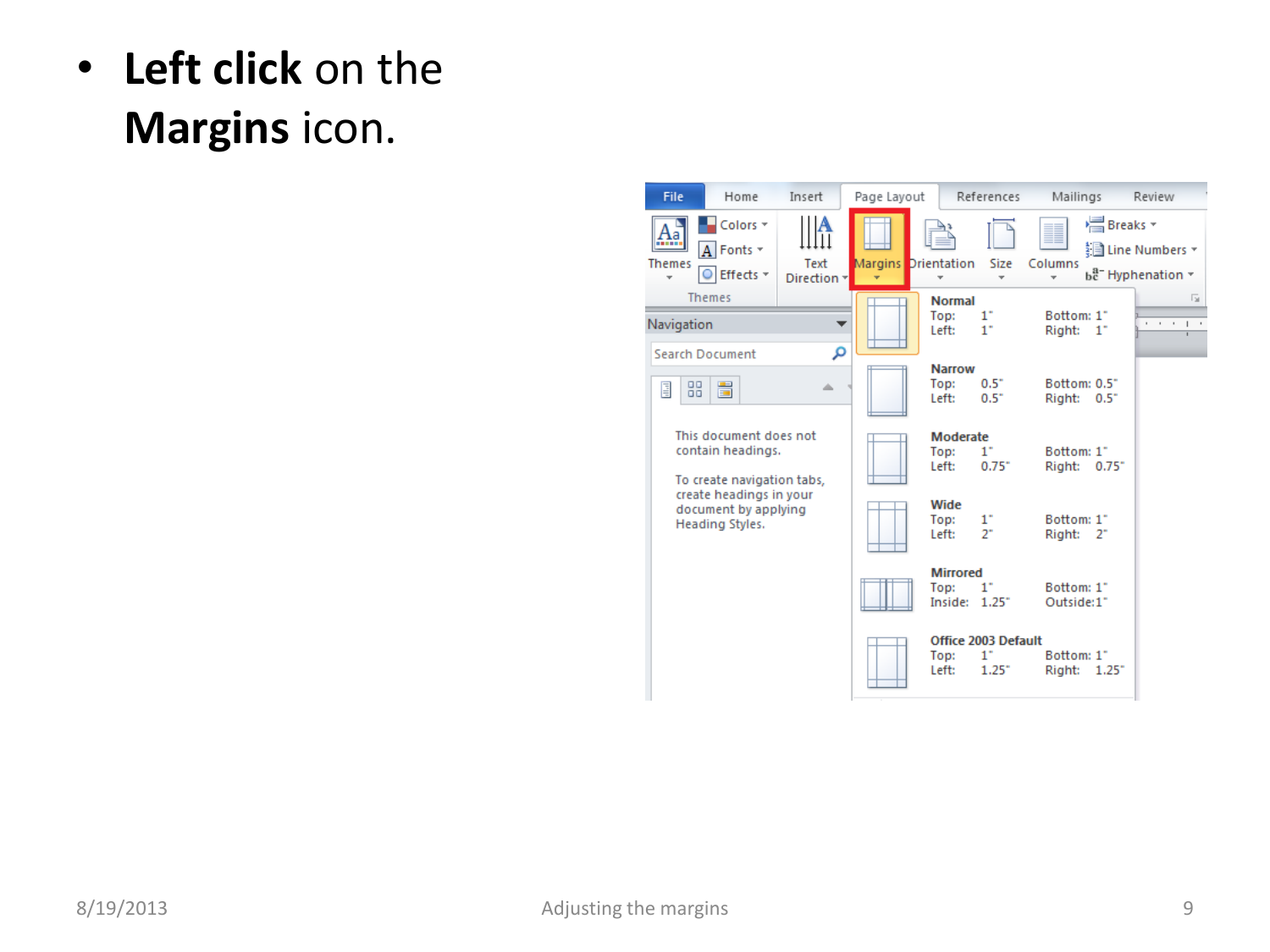## • **Left click** on the **Margins** icon.